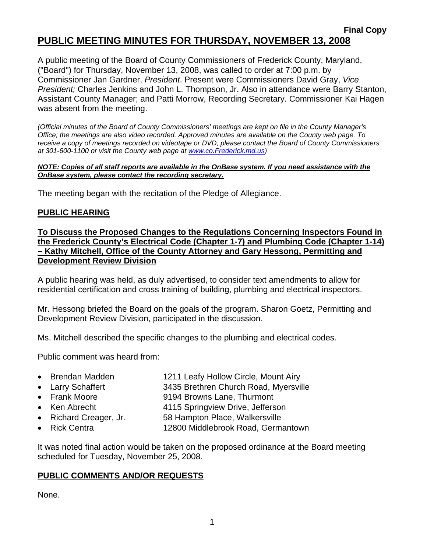#### **Final Copy PUBLIC MEETING MINUTES FOR THURSDAY, NOVEMBER 13, 2008**

A public meeting of the Board of County Commissioners of Frederick County, Maryland, ("Board") for Thursday, November 13, 2008, was called to order at 7:00 p.m. by Commissioner Jan Gardner, *President*. Present were Commissioners David Gray, *Vice President;* Charles Jenkins and John L. Thompson, Jr. Also in attendance were Barry Stanton, Assistant County Manager; and Patti Morrow, Recording Secretary. Commissioner Kai Hagen was absent from the meeting.

*(Official minutes of the Board of County Commissioners' meetings are kept on file in the County Manager's Office; the meetings are also video recorded. Approved minutes are available on the County web page. To receive a copy of meetings recorded on videotape or DVD, please contact the Board of County Commissioners at 301-600-1100 or visit the County web page at [www.co](http://www.co/).Frederick.md.us)* 

#### *NOTE: Copies of all staff reports are available in the OnBase system. If you need assistance with the OnBase system, please contact the recording secretary.*

The meeting began with the recitation of the Pledge of Allegiance.

### **PUBLIC HEARING**

**To Discuss the Proposed Changes to the Regulations Concerning Inspectors Found in the Frederick County's Electrical Code (Chapter 1-7) and Plumbing Code (Chapter 1-14) – Kathy Mitchell, Office of the County Attorney and Gary Hessong, Permitting and Development Review Division**

A public hearing was held, as duly advertised, to consider text amendments to allow for residential certification and cross training of building, plumbing and electrical inspectors.

Mr. Hessong briefed the Board on the goals of the program. Sharon Goetz, Permitting and Development Review Division, participated in the discussion.

Ms. Mitchell described the specific changes to the plumbing and electrical codes.

Public comment was heard from:

- Brendan Madden 1211 Leafy Hollow Circle, Mount Airy
- Larry Schaffert 3435 Brethren Church Road, Myersville
- Frank Moore 9194 Browns Lane, Thurmont
- Ken Abrecht 4115 Springview Drive, Jefferson
- Richard Creager, Jr. 58 Hampton Place, Walkersville
- Rick Centra 12800 Middlebrook Road, Germantown

It was noted final action would be taken on the proposed ordinance at the Board meeting scheduled for Tuesday, November 25, 2008.

#### **PUBLIC COMMENTS AND/OR REQUESTS**

None.